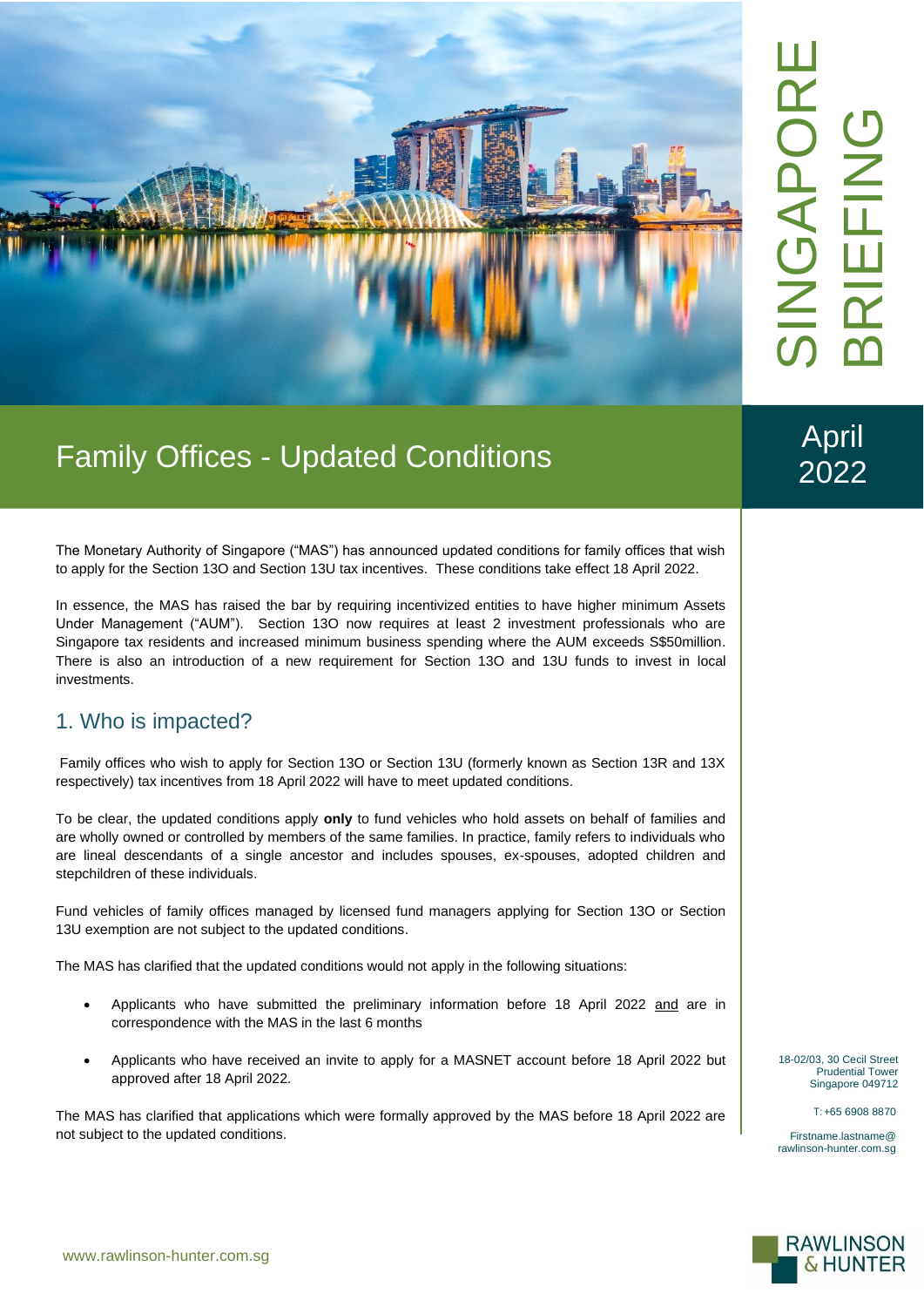

# Family Offices - Updated Conditions

April

2022

The Monetary Authority of Singapore ("MAS") has announced updated conditions for family offices that wish to apply for the Section 13O and Section 13U tax incentives. These conditions take effect 18 April 2022.

In essence, the MAS has raised the bar by requiring incentivized entities to have higher minimum Assets Under Management ("AUM"). Section 13O now requires at least 2 investment professionals who are Singapore tax residents and increased minimum business spending where the AUM exceeds S\$50million. There is also an introduction of a new requirement for Section 13O and 13U funds to invest in local investments.

#### 1. Who is impacted?

Family offices who wish to apply for Section 13O or Section 13U (formerly known as Section 13R and 13X respectively) tax incentives from 18 April 2022 will have to meet updated conditions.

To be clear, the updated conditions apply **only** to fund vehicles who hold assets on behalf of families and are wholly owned or controlled by members of the same families. In practice, family refers to individuals who are lineal descendants of a single ancestor and includes spouses, ex-spouses, adopted children and stepchildren of these individuals.

Fund vehicles of family offices managed by licensed fund managers applying for Section 13O or Section 13U exemption are not subject to the updated conditions.

The MAS has clarified that the updated conditions would not apply in the following situations:

- Applicants who have submitted the preliminary information before 18 April 2022 and are in correspondence with the MAS in the last 6 months
- Applicants who have received an invite to apply for a MASNET account before 18 April 2022 but approved after 18 April 2022.

The MAS has clarified that applications which were formally approved by the MAS before 18 April 2022 are not subject to the updated conditions.

18-02/03, 30 Cecil Street Prudential Tower Singapore 049712

T:+65 6908 8870

Firstname.lastname@ rawlinson-hunter.com.sg

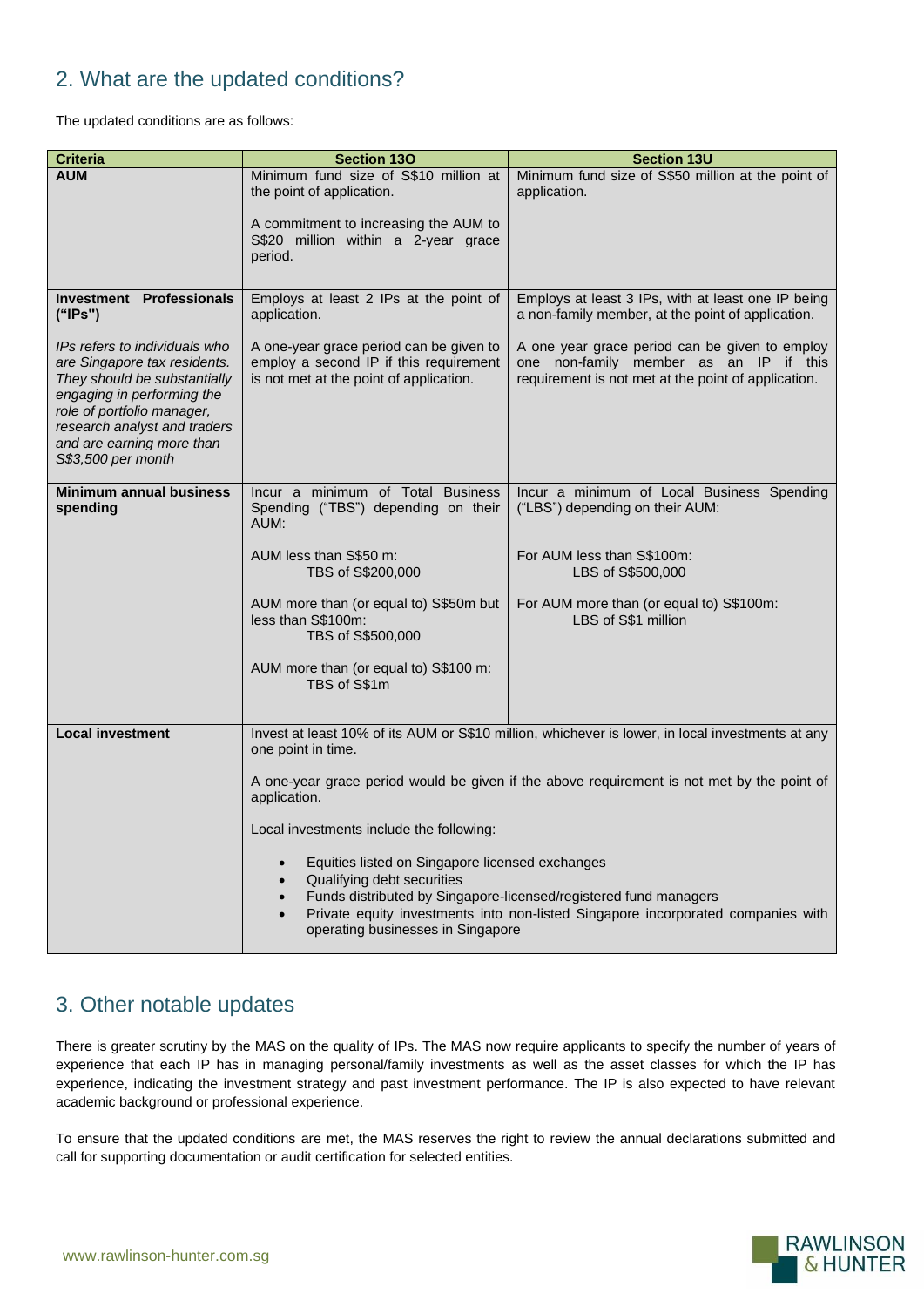## 2. What are the updated conditions?

The updated conditions are as follows:

| <b>Criteria</b>                                                                                                                                                                                                                              | <b>Section 130</b>                                                                                                                                                                                                                                                         | <b>Section 13U</b>                                                                                                                              |
|----------------------------------------------------------------------------------------------------------------------------------------------------------------------------------------------------------------------------------------------|----------------------------------------------------------------------------------------------------------------------------------------------------------------------------------------------------------------------------------------------------------------------------|-------------------------------------------------------------------------------------------------------------------------------------------------|
| <b>AUM</b>                                                                                                                                                                                                                                   | Minimum fund size of S\$10 million at<br>the point of application.                                                                                                                                                                                                         | Minimum fund size of S\$50 million at the point of<br>application.                                                                              |
|                                                                                                                                                                                                                                              | A commitment to increasing the AUM to<br>S\$20 million within a 2-year grace<br>period.                                                                                                                                                                                    |                                                                                                                                                 |
| <b>Investment Professionals</b><br>("IPs")                                                                                                                                                                                                   | Employs at least 2 IPs at the point of<br>application.                                                                                                                                                                                                                     | Employs at least 3 IPs, with at least one IP being<br>a non-family member, at the point of application.                                         |
| IPs refers to individuals who<br>are Singapore tax residents.<br>They should be substantially<br>engaging in performing the<br>role of portfolio manager,<br>research analyst and traders<br>and are earning more than<br>S\$3,500 per month | A one-year grace period can be given to<br>employ a second IP if this requirement<br>is not met at the point of application.                                                                                                                                               | A one year grace period can be given to employ<br>one non-family member as an IP if this<br>requirement is not met at the point of application. |
| <b>Minimum annual business</b><br>spending                                                                                                                                                                                                   | Incur a minimum of Total Business<br>Spending ("TBS") depending on their<br>AUM:                                                                                                                                                                                           | Incur a minimum of Local Business Spending<br>("LBS") depending on their AUM:                                                                   |
|                                                                                                                                                                                                                                              | AUM less than S\$50 m:<br>TBS of S\$200,000                                                                                                                                                                                                                                | For AUM less than S\$100m:<br>LBS of S\$500,000                                                                                                 |
|                                                                                                                                                                                                                                              | AUM more than (or equal to) S\$50m but<br>less than S\$100m:<br>TBS of S\$500,000                                                                                                                                                                                          | For AUM more than (or equal to) S\$100m:<br>LBS of S\$1 million                                                                                 |
|                                                                                                                                                                                                                                              | AUM more than (or equal to) S\$100 m:<br>TBS of S\$1m                                                                                                                                                                                                                      |                                                                                                                                                 |
| <b>Local investment</b>                                                                                                                                                                                                                      | Invest at least 10% of its AUM or S\$10 million, whichever is lower, in local investments at any<br>one point in time.                                                                                                                                                     |                                                                                                                                                 |
|                                                                                                                                                                                                                                              | A one-year grace period would be given if the above requirement is not met by the point of<br>application.                                                                                                                                                                 |                                                                                                                                                 |
|                                                                                                                                                                                                                                              | Local investments include the following:                                                                                                                                                                                                                                   |                                                                                                                                                 |
|                                                                                                                                                                                                                                              | Equities listed on Singapore licensed exchanges<br>Qualifying debt securities<br>Funds distributed by Singapore-licensed/registered fund managers<br>Private equity investments into non-listed Singapore incorporated companies with<br>operating businesses in Singapore |                                                                                                                                                 |

## 3. Other notable updates

There is greater scrutiny by the MAS on the quality of IPs. The MAS now require applicants to specify the number of years of experience that each IP has in managing personal/family investments as well as the asset classes for which the IP has experience, indicating the investment strategy and past investment performance. The IP is also expected to have relevant academic background or professional experience.

To ensure that the updated conditions are met, the MAS reserves the right to review the annual declarations submitted and call for supporting documentation or audit certification for selected entities.